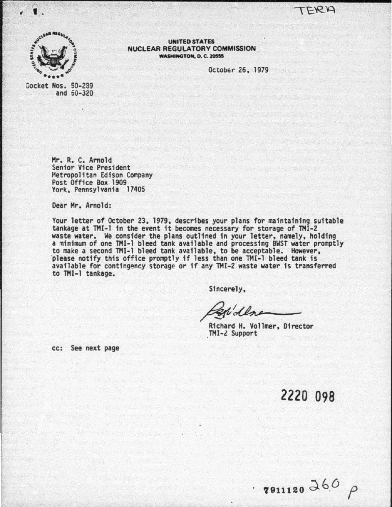TERA



..

UNITED STATES<br>NUCLEAR REGULATORY COMMISSION WASHINGTON, D. C. 20555

October 26, 1979

Docket Nos. 50-289 and S0-320

> Hr. R. c. Arnold Senior Vice President Metropolitan Edison Company<br>Post Office Box 1909 York, Pennsylvania 17405

Dear Hr. Arnold:

Your letter of October 23. 1979. describes your plans for maintafnfng suitable tankage at THI-1 in the event it becomes necessary for storage of TMI-2 waste water. We consider the plans outlined in your letter, namely, holding a minimum of one THI-1 bleed tank available and processing BWST water promptly to make a second TMI-1 bleed tank available, to be acceptable. However, 'please notify this office promptly if less than one THI-1 bleed tank is please notify this office promptly if less than one TMI-1 bleed tank is<br>available for contingency storage or if any TMI-2 waste water is transferred to THI-1 tankage.

Sincerely.

Richard H. Vollmer, Director TMI-2 Support

cc: See next page

light of the control of the control of

2220 098

 $\frac{7911120}{860}$   $\uparrow$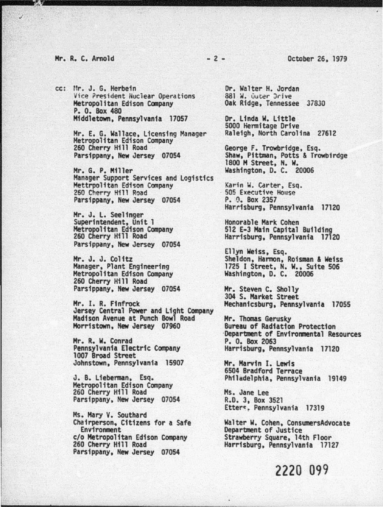#### Mr. R. C. Arnold - 2 - October 26. 1979

cc: Mr. J. G. Herbein Vice President Nuclear Operations<br>Metropolitan Edison Company P. 0. Box 480 Middletown. Pennsylvania 17057

> Hr. E. G. Wallace. Licensing Manager Metropolitan Edison Company 260 Cherry Hill Road Parsippany. New Jersey 07054

Hr. G. P. Miller Manager Support Services and Logistics<br>Mettrpolitan Edison Company<br>260 Cherry Hill Road Parsippany. New Jersey 07054

Mr. J. L. Seelinger<br>Superintendent, Unit 1 Metropolitan Edison Company<br>260 Cherry Hill Road Parsippany. New Jersey 07054

Mr. J. J. Colitz Manager. Plant Engineering Metropolitan Edison Company 260 Cherry Hill Road Parsippany. New Jersey 07054

Mr. I. R. Finfrock Jersey Central Power and Light Company Madison Avenue at Punch Bowl Road Morristown. New Jersey 07960

Mr. R. w. Conrad Pennsylvania Electric Company 1007 Broad Street Johnstown. Pennsylvania 15907

J. B. Lieberman. Esq. Metropolitan Edison Company 260 Cherry Hill Road Parsippany. New Jersey 07054

Hs. Mary V. Southard Chairperson, Citizens for a Safe Environment c/o Metropolitan Edison Company<br>260 Cherry Hill Road Parsippany. New Jersey 07054

Dr. Walter H. Jordan 881 W. Outer Drive Oak Ridge, Tennessee 37830

Or. Linda w. Little 5000 Hennitage Drive Raleigh, North Carolina 27612

George F. Trowbridge. Esq. Shaw. Pittman. Potts & Trowb1rdge 1800 M Street. N. W. Washington. D. c. 20006

Karin W. Carter, Esq.<br>505 Executive House P. 0. Box 2357 Harrisburg. Pennsylvania 17120

Honorable Mark Cohen<br>512 E-3 Main Capital Building Harrisburg, Pennsylvania 17120

Ellyn Weiss, Esq.<br>Sheldon, Harmon, Roisman & Weiss 1725 I Street, N. W., Suite 506 Washington, D. c. 20006

Hr. Steven C. Sholly 304 S. Market Street Mechanicsburg. Pennsylvania 17055

Mr. Thomas Gerusky<br>Bureau of Radiation Protection<br>Department of Environmental Resources P. 0. Box 2063 Harrisburg. Pennsylvania 17120

Mr. Harvin I. Lewis 6504 Bradford Terrace Philadelphia. Pennsylvania 19149

Hs. Jane Lee R.D. 3. Box 3521 Etters, Pennsylvania 17319

Walter W. Cohen, ConsumersAdvocate Department of Justice Strawberry Square. 14th Floor Harrisburg. Pennsylvania 17127

2220 099

~.r..-.................................. ...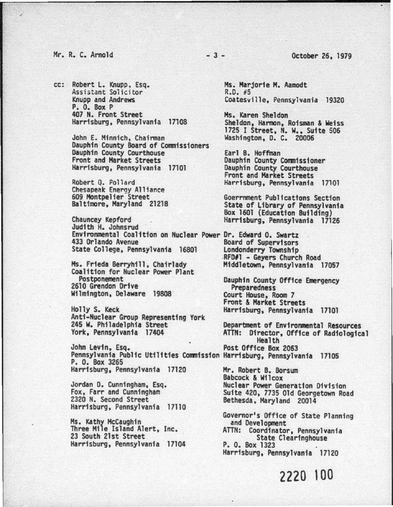# Mr. R. c. Arnold - 3 - October 26, 1979

cc: Robert L. Knupp, Esq. Assistant Solicitor Knupp and Andrews P. 0. Box P 407 H. Front Street Harrisburg. Pennsylvania 17108

> John E. Minnich, Chairman Dauphin County Board of Commissioners Dauphin County Courthouse Front and Market Streets Harrisburg, Pennsylvania 17101

Robert Q. Pollard Chesapeak Energy Alliance 609 Montpelier Street Baltimore. Maryland 21218

Chauncey Kepford Judith H. Johnsrud Environmental Coalition on Nuclear Power Dr. Edward 0. Swartz State College, Pennsylvania 16801 Londonderry Township

Ms. Frieda Berryhill, Chairlady Coalition for Nuclear Power Plant 2610 Grendon Drive Wilmington. Delaware 19808

Holly s. Keck Anti-Nuclear Group Representing York 245 w. Philadelphia Street York, Pennsylvania 17404

John levin. Esq. Post Office Box 2063 Pennsylvania Public Utilities Commission Harrisburg. Pennsylvania 17105 P. 0. Box 3265 Harrisburg. Pennsylvania 17120

Jordan D. Cunningham, Esq. Fox, Farr and Cunningham 2320 N. Second Street Harrisburg, Pennsylvania 17110

Hs. Kathy McCaughin Three Mile Island Alert. Inc. 23 South 21st Street Harrisburg. Pennsylvania 17104

Hs. Marjorie H. Aamodt  $R.D.$  #5 Coatesville. Pennsylvania 19320

Hs. Karen Sheldon Sheldon, Harmon. Roisman & Weiss 1725 I Street, N. W., Suite 506 Washington. D. c. 20006

Earl B. Hoffman Dauphin County Commissioner Dauphin County Courthouse Front and Market Streets Harrisburg, Pennsylvania 17101

Goerrnment Publications Section State of Library of Pennsylvania Box 1601 (Education Building) Harrisburg, Pennsylvania 17126

.RFD#l - Geyers Church Road Middletown, Pennsylvania 17057

Dauphin County Office Emergency<br>Preparedness<br>Court House, Room 7 Front & Market Streets Harrisburg, Pennsylvania 17101

Department *of* Environmental Resources ATTN: Director. Office of Radiological Health

Hr. Robert B. Borsum Babcock & Wilcox Nuclear Power Generation Division Suite 420, 7735 Old Georgetown Road Bethesda, Maryland 20014

Governor's Office of State Planning<br>and Development<br>ATTN: Coordinator, Pennsylvania<br>State Clearinghouse<br>P. 0. Box 1323<br>Harrisburg, Pennsylvania 17120

2220 100